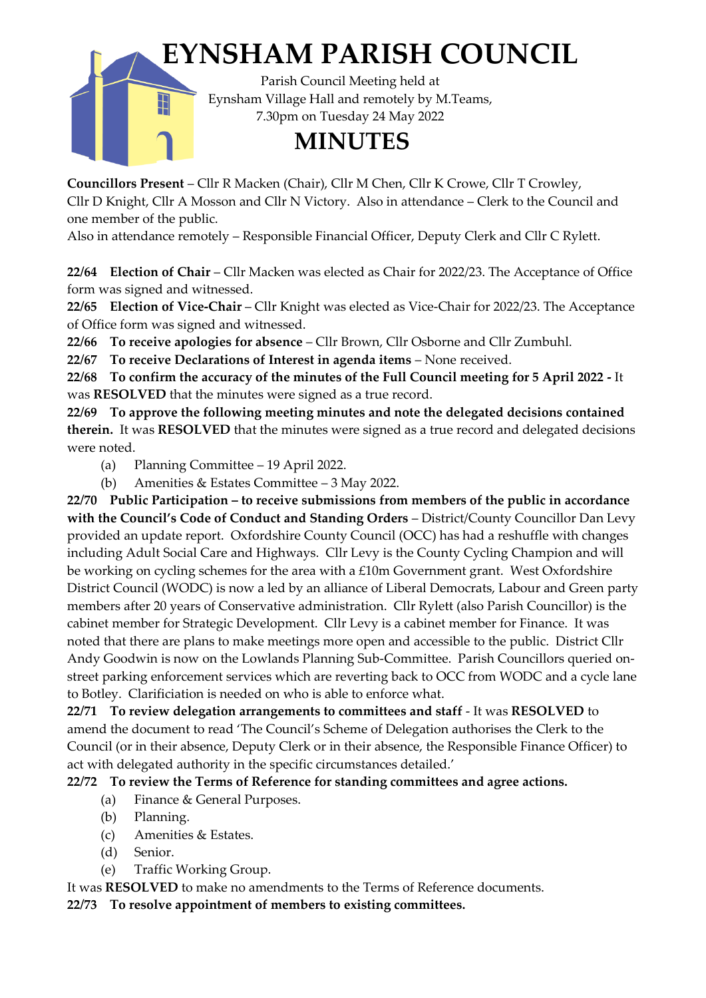

**Councillors Present** – Cllr R Macken (Chair), Cllr M Chen, Cllr K Crowe, Cllr T Crowley, Cllr D Knight, Cllr A Mosson and Cllr N Victory. Also in attendance – Clerk to the Council and one member of the public.

Also in attendance remotely – Responsible Financial Officer, Deputy Clerk and Cllr C Rylett.

**22/64 Election of Chair** – Cllr Macken was elected as Chair for 2022/23. The Acceptance of Office form was signed and witnessed.

**22/65 Election of Vice-Chair** – Cllr Knight was elected as Vice-Chair for 2022/23. The Acceptance of Office form was signed and witnessed.

**22/66 To receive apologies for absence** – Cllr Brown, Cllr Osborne and Cllr Zumbuhl.

**22/67 To receive Declarations of Interest in agenda items** – None received.

**22/68 To confirm the accuracy of the minutes of the Full Council meeting for 5 April 2022 -** It was **RESOLVED** that the minutes were signed as a true record.

**22/69 To approve the following meeting minutes and note the delegated decisions contained therein.** It was **RESOLVED** that the minutes were signed as a true record and delegated decisions were noted.

- (a) Planning Committee 19 April 2022.
- (b) Amenities & Estates Committee 3 May 2022.

**22/70 Public Participation – to receive submissions from members of the public in accordance with the Council's Code of Conduct and Standing Orders** – District/County Councillor Dan Levy provided an update report. Oxfordshire County Council (OCC) has had a reshuffle with changes including Adult Social Care and Highways. Cllr Levy is the County Cycling Champion and will be working on cycling schemes for the area with a £10m Government grant. West Oxfordshire District Council (WODC) is now a led by an alliance of Liberal Democrats, Labour and Green party members after 20 years of Conservative administration. Cllr Rylett (also Parish Councillor) is the cabinet member for Strategic Development. Cllr Levy is a cabinet member for Finance. It was noted that there are plans to make meetings more open and accessible to the public. District Cllr Andy Goodwin is now on the Lowlands Planning Sub-Committee. Parish Councillors queried onstreet parking enforcement services which are reverting back to OCC from WODC and a cycle lane to Botley. Clarificiation is needed on who is able to enforce what.

**22/71 To review delegation arrangements to committees and staff** - It was **RESOLVED** to amend the document to read 'The Council's Scheme of Delegation authorises the Clerk to the Council (or in their absence, Deputy Clerk or in their absence, the Responsible Finance Officer) to act with delegated authority in the specific circumstances detailed.'

# **22/72 To review the Terms of Reference for standing committees and agree actions.**

- (a) Finance & General Purposes.
- (b) Planning.
- (c) Amenities & Estates.
- (d) Senior.
- (e) Traffic Working Group.

It was **RESOLVED** to make no amendments to the Terms of Reference documents.

**22/73 To resolve appointment of members to existing committees.**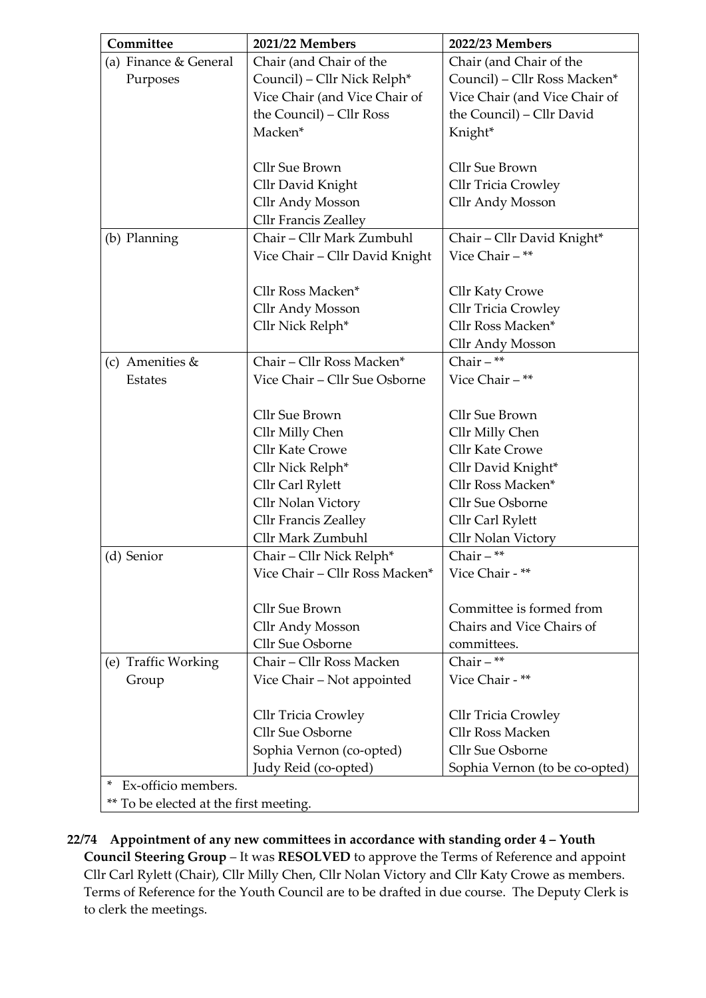| Committee                              | 2021/22 Members                             | 2022/23 Members                |  |  |  |
|----------------------------------------|---------------------------------------------|--------------------------------|--|--|--|
| (a) Finance & General                  | Chair (and Chair of the                     | Chair (and Chair of the        |  |  |  |
| Purposes                               | Council) - Cllr Nick Relph*                 | Council) - Cllr Ross Macken*   |  |  |  |
|                                        | Vice Chair (and Vice Chair of               | Vice Chair (and Vice Chair of  |  |  |  |
|                                        | the Council) – Cllr Ross                    | the Council) - Cllr David      |  |  |  |
|                                        | Macken*                                     | Knight*                        |  |  |  |
|                                        |                                             |                                |  |  |  |
|                                        | Cllr Sue Brown                              | Cllr Sue Brown                 |  |  |  |
|                                        | Cllr David Knight                           | Cllr Tricia Crowley            |  |  |  |
|                                        | Cllr Andy Mosson                            | Cllr Andy Mosson               |  |  |  |
|                                        | Cllr Francis Zealley                        |                                |  |  |  |
| (b) Planning                           | Chair - Cllr Mark Zumbuhl                   | Chair - Cllr David Knight*     |  |  |  |
|                                        | Vice Chair - Cllr David Knight              | Vice Chair - **                |  |  |  |
|                                        |                                             |                                |  |  |  |
|                                        | Cllr Ross Macken*                           | Cllr Katy Crowe                |  |  |  |
|                                        | Cllr Andy Mosson                            | Cllr Tricia Crowley            |  |  |  |
|                                        | Cllr Nick Relph*                            | Cllr Ross Macken*              |  |  |  |
|                                        |                                             | Cllr Andy Mosson               |  |  |  |
| (c) Amenities &                        | Chair - Cllr Ross Macken*                   | Chair $-$ **                   |  |  |  |
| <b>Estates</b>                         | Vice Chair - Cllr Sue Osborne               | Vice Chair - **                |  |  |  |
|                                        |                                             |                                |  |  |  |
|                                        | Cllr Sue Brown                              | Cllr Sue Brown                 |  |  |  |
|                                        | Cllr Milly Chen                             | Cllr Milly Chen                |  |  |  |
|                                        | Cllr Kate Crowe                             | <b>Cllr Kate Crowe</b>         |  |  |  |
|                                        | Cllr Nick Relph*                            | Cllr David Knight*             |  |  |  |
|                                        | Cllr Carl Rylett                            | Cllr Ross Macken*              |  |  |  |
|                                        | Cllr Nolan Victory                          | Cllr Sue Osborne               |  |  |  |
|                                        | <b>Cllr Francis Zealley</b>                 | Cllr Carl Rylett               |  |  |  |
|                                        | Cllr Mark Zumbuhl                           | Cllr Nolan Victory             |  |  |  |
| (d) Senior                             | Chair - Cllr Nick Relph*                    | Chair $-$ **                   |  |  |  |
|                                        | Vice Chair - Cllr Ross Macken*              | Vice Chair - **                |  |  |  |
|                                        | Cllr Sue Brown                              | Committee is formed from       |  |  |  |
|                                        |                                             | Chairs and Vice Chairs of      |  |  |  |
|                                        | <b>Cllr Andy Mosson</b><br>Cllr Sue Osborne | committees.                    |  |  |  |
|                                        | Chair - Cllr Ross Macken                    | Chair $-$ **                   |  |  |  |
| (e) Traffic Working                    |                                             | Vice Chair - **                |  |  |  |
| Group                                  | Vice Chair - Not appointed                  |                                |  |  |  |
|                                        | <b>Cllr Tricia Crowley</b>                  | <b>Cllr Tricia Crowley</b>     |  |  |  |
|                                        | Cllr Sue Osborne                            | Cllr Ross Macken               |  |  |  |
|                                        | Sophia Vernon (co-opted)                    | Cllr Sue Osborne               |  |  |  |
|                                        | Judy Reid (co-opted)                        | Sophia Vernon (to be co-opted) |  |  |  |
| Ex-officio members.                    |                                             |                                |  |  |  |
| ** To be elected at the first meeting. |                                             |                                |  |  |  |

**22/74 Appointment of any new committees in accordance with standing order 4 – Youth Council Steering Group** – It was **RESOLVED** to approve the Terms of Reference and appoint Cllr Carl Rylett (Chair), Cllr Milly Chen, Cllr Nolan Victory and Cllr Katy Crowe as members. Terms of Reference for the Youth Council are to be drafted in due course. The Deputy Clerk is to clerk the meetings.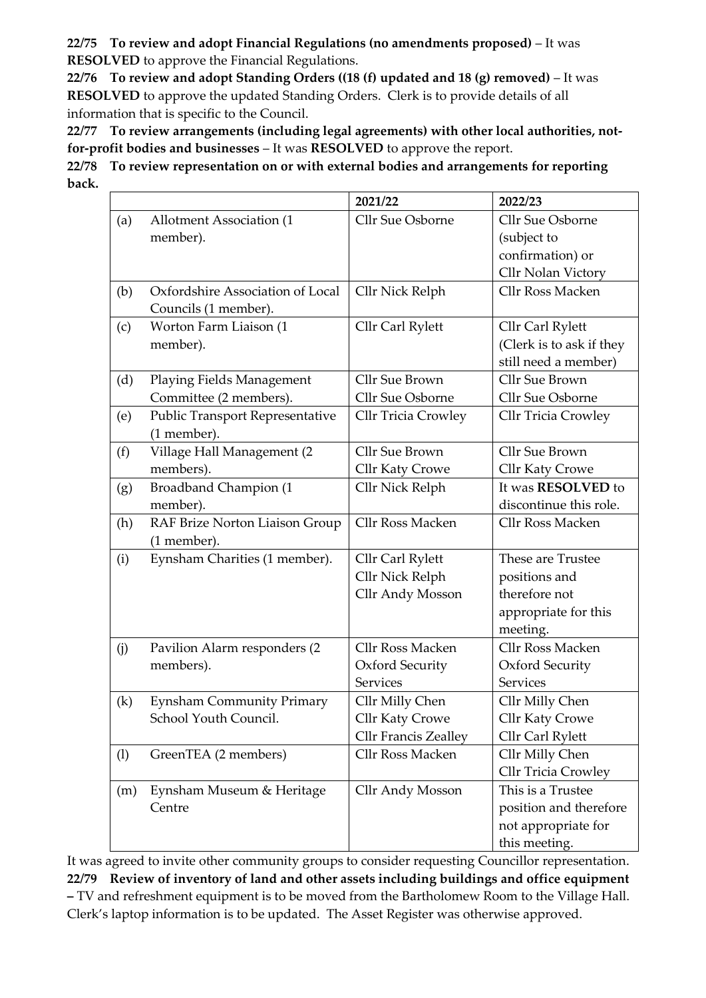**22/75 To review and adopt Financial Regulations (no amendments proposed)** – It was **RESOLVED** to approve the Financial Regulations.

**22/76 To review and adopt Standing Orders ((18 (f) updated and 18 (g) removed)** – It was **RESOLVED** to approve the updated Standing Orders. Clerk is to provide details of all information that is specific to the Council.

**22/77 To review arrangements (including legal agreements) with other local authorities, notfor-profit bodies and businesses** – It was **RESOLVED** to approve the report.

**22/78 To review representation on or with external bodies and arrangements for reporting back.**

|     |                                        | 2021/22                     | 2022/23                    |
|-----|----------------------------------------|-----------------------------|----------------------------|
| (a) | Allotment Association (1               | Cllr Sue Osborne            | Cllr Sue Osborne           |
|     | member).                               |                             | (subject to                |
|     |                                        |                             | confirmation) or           |
|     |                                        |                             | Cllr Nolan Victory         |
| (b) | Oxfordshire Association of Local       | Cllr Nick Relph             | Cllr Ross Macken           |
|     | Councils (1 member).                   |                             |                            |
| (c) | Worton Farm Liaison (1                 | Cllr Carl Rylett            | Cllr Carl Rylett           |
|     | member).                               |                             | (Clerk is to ask if they   |
|     |                                        |                             | still need a member)       |
| (d) | Playing Fields Management              | Cllr Sue Brown              | <b>Cllr Sue Brown</b>      |
|     | Committee (2 members).                 | Cllr Sue Osborne            | Cllr Sue Osborne           |
| (e) | <b>Public Transport Representative</b> | <b>Cllr Tricia Crowley</b>  | <b>Cllr Tricia Crowley</b> |
|     | (1 member).                            |                             |                            |
| (f) | Village Hall Management (2             | Cllr Sue Brown              | Cllr Sue Brown             |
|     | members).                              | Cllr Katy Crowe             | Cllr Katy Crowe            |
| (g) | Broadband Champion (1                  | Cllr Nick Relph             | It was RESOLVED to         |
|     | member).                               |                             | discontinue this role.     |
| (h) | RAF Brize Norton Liaison Group         | Cllr Ross Macken            | <b>Cllr Ross Macken</b>    |
|     | (1 member).                            |                             |                            |
| (i) | Eynsham Charities (1 member).          | Cllr Carl Rylett            | These are Trustee          |
|     |                                        | Cllr Nick Relph             | positions and              |
|     |                                        | Cllr Andy Mosson            | therefore not              |
|     |                                        |                             | appropriate for this       |
|     |                                        |                             | meeting.                   |
| (j) | Pavilion Alarm responders (2           | Cllr Ross Macken            | <b>Cllr Ross Macken</b>    |
|     | members).                              | Oxford Security             | Oxford Security            |
|     |                                        | <b>Services</b>             | <b>Services</b>            |
| (k) | <b>Eynsham Community Primary</b>       | Cllr Milly Chen             | Cllr Milly Chen            |
|     | School Youth Council.                  | <b>Cllr Katy Crowe</b>      | Cllr Katy Crowe            |
|     |                                        | <b>Cllr Francis Zealley</b> | Cllr Carl Rylett           |
| (1) | GreenTEA (2 members)                   | Cllr Ross Macken            | Cllr Milly Chen            |
|     |                                        |                             | <b>Cllr Tricia Crowley</b> |
| (m) | Eynsham Museum & Heritage              | Cllr Andy Mosson            | This is a Trustee          |
|     | Centre                                 |                             | position and therefore     |
|     |                                        |                             | not appropriate for        |
|     |                                        |                             | this meeting.              |

It was agreed to invite other community groups to consider requesting Councillor representation. **22/79 Review of inventory of land and other assets including buildings and office equipment –** TV and refreshment equipment is to be moved from the Bartholomew Room to the Village Hall. Clerk's laptop information is to be updated. The Asset Register was otherwise approved.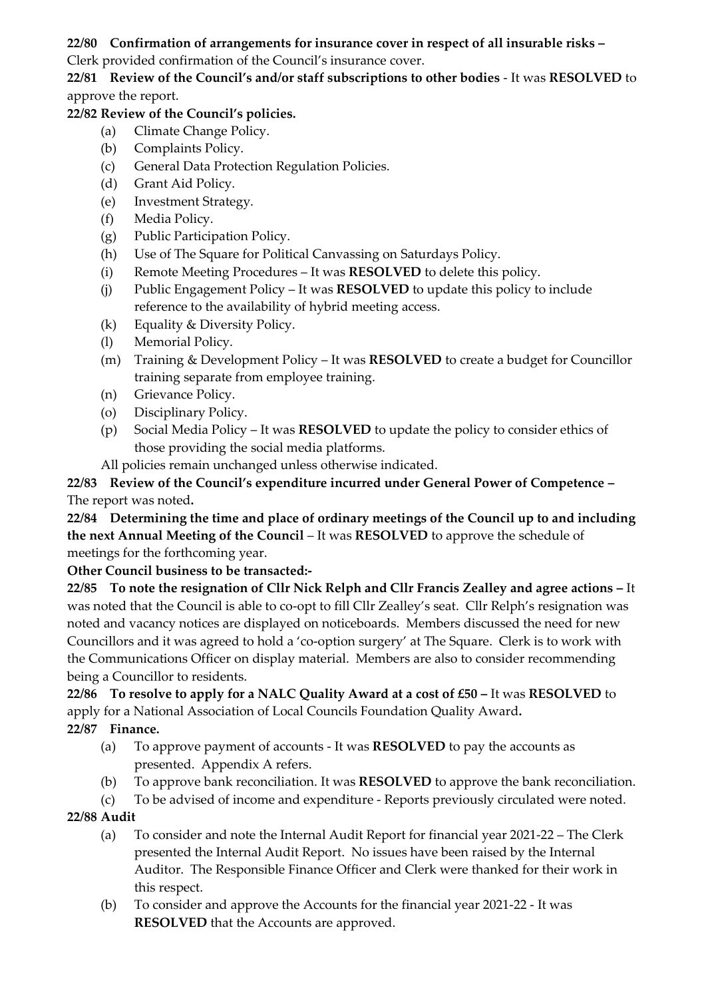# **22/80 Confirmation of arrangements for insurance cover in respect of all insurable risks –**

Clerk provided confirmation of the Council's insurance cover.

**22/81 Review of the Council's and/or staff subscriptions to other bodies** - It was **RESOLVED** to approve the report.

# **22/82 Review of the Council's policies.**

- (a) Climate Change Policy.
- (b) Complaints Policy.
- (c) General Data Protection Regulation Policies.
- (d) Grant Aid Policy.
- (e) Investment Strategy.
- (f) Media Policy.
- (g) Public Participation Policy.
- (h) Use of The Square for Political Canvassing on Saturdays Policy.
- (i) Remote Meeting Procedures It was **RESOLVED** to delete this policy.
- (j) Public Engagement Policy It was **RESOLVED** to update this policy to include reference to the availability of hybrid meeting access.
- (k) Equality & Diversity Policy.
- (l) Memorial Policy.
- (m) Training & Development Policy It was **RESOLVED** to create a budget for Councillor training separate from employee training.
- (n) Grievance Policy.
- (o) Disciplinary Policy.
- (p) Social Media Policy It was **RESOLVED** to update the policy to consider ethics of those providing the social media platforms.
- All policies remain unchanged unless otherwise indicated.

**22/83 Review of the Council's expenditure incurred under General Power of Competence –** The report was noted**.**

**22/84 Determining the time and place of ordinary meetings of the Council up to and including the next Annual Meeting of the Council** – It was **RESOLVED** to approve the schedule of meetings for the forthcoming year.

**Other Council business to be transacted:-**

**22/85 To note the resignation of Cllr Nick Relph and Cllr Francis Zealley and agree actions –** It was noted that the Council is able to co-opt to fill Cllr Zealley's seat. Cllr Relph's resignation was noted and vacancy notices are displayed on noticeboards. Members discussed the need for new Councillors and it was agreed to hold a 'co-option surgery' at The Square. Clerk is to work with the Communications Officer on display material. Members are also to consider recommending being a Councillor to residents.

**22/86 To resolve to apply for a NALC Quality Award at a cost of £50 –** It was **RESOLVED** to apply for a National Association of Local Councils Foundation Quality Award**. 22/87 Finance.**

- (a) To approve payment of accounts It was **RESOLVED** to pay the accounts as presented. Appendix A refers.
- (b) To approve bank reconciliation. It was **RESOLVED** to approve the bank reconciliation.
- (c) To be advised of income and expenditure Reports previously circulated were noted.

# **22/88 Audit**

- (a) To consider and note the Internal Audit Report for financial year 2021-22 The Clerk presented the Internal Audit Report. No issues have been raised by the Internal Auditor. The Responsible Finance Officer and Clerk were thanked for their work in this respect.
- (b) To consider and approve the Accounts for the financial year 2021-22 It was **RESOLVED** that the Accounts are approved.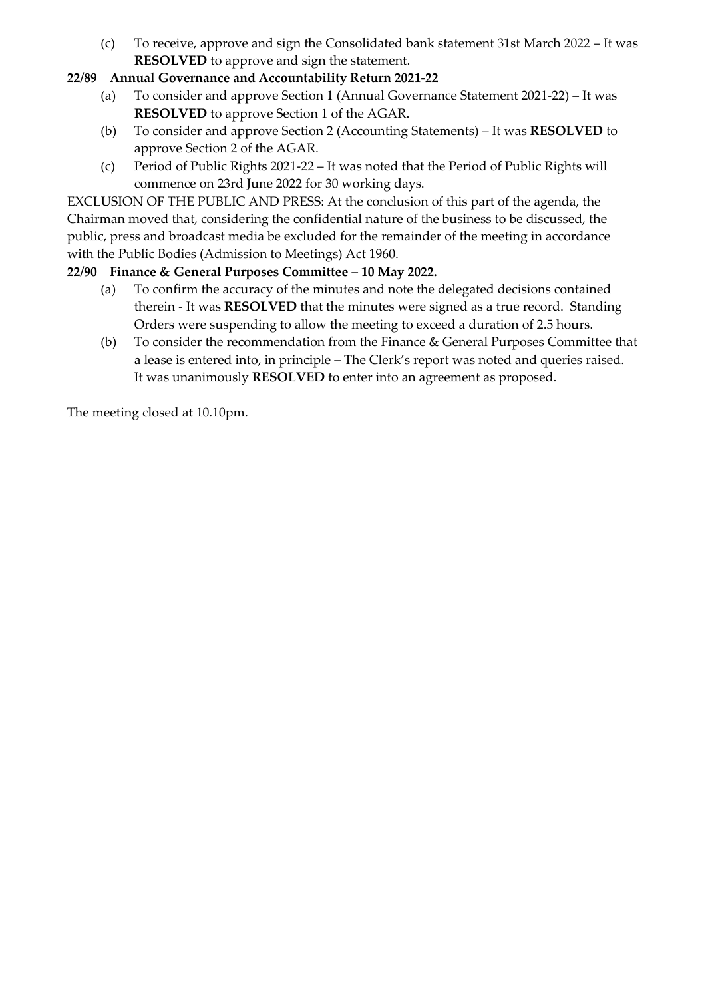(c) To receive, approve and sign the Consolidated bank statement 31st March 2022 – It was **RESOLVED** to approve and sign the statement.

# **22/89 Annual Governance and Accountability Return 2021-22**

- (a) To consider and approve Section 1 (Annual Governance Statement 2021-22) It was **RESOLVED** to approve Section 1 of the AGAR.
- (b) To consider and approve Section 2 (Accounting Statements) It was **RESOLVED** to approve Section 2 of the AGAR.
- (c) Period of Public Rights 2021-22 It was noted that the Period of Public Rights will commence on 23rd June 2022 for 30 working days.

EXCLUSION OF THE PUBLIC AND PRESS: At the conclusion of this part of the agenda, the Chairman moved that, considering the confidential nature of the business to be discussed, the public, press and broadcast media be excluded for the remainder of the meeting in accordance with the Public Bodies (Admission to Meetings) Act 1960.

#### **22/90 Finance & General Purposes Committee – 10 May 2022.**

- (a) To confirm the accuracy of the minutes and note the delegated decisions contained therein - It was **RESOLVED** that the minutes were signed as a true record. Standing Orders were suspending to allow the meeting to exceed a duration of 2.5 hours.
- (b) To consider the recommendation from the Finance & General Purposes Committee that a lease is entered into, in principle **–** The Clerk's report was noted and queries raised. It was unanimously **RESOLVED** to enter into an agreement as proposed.

The meeting closed at 10.10pm.